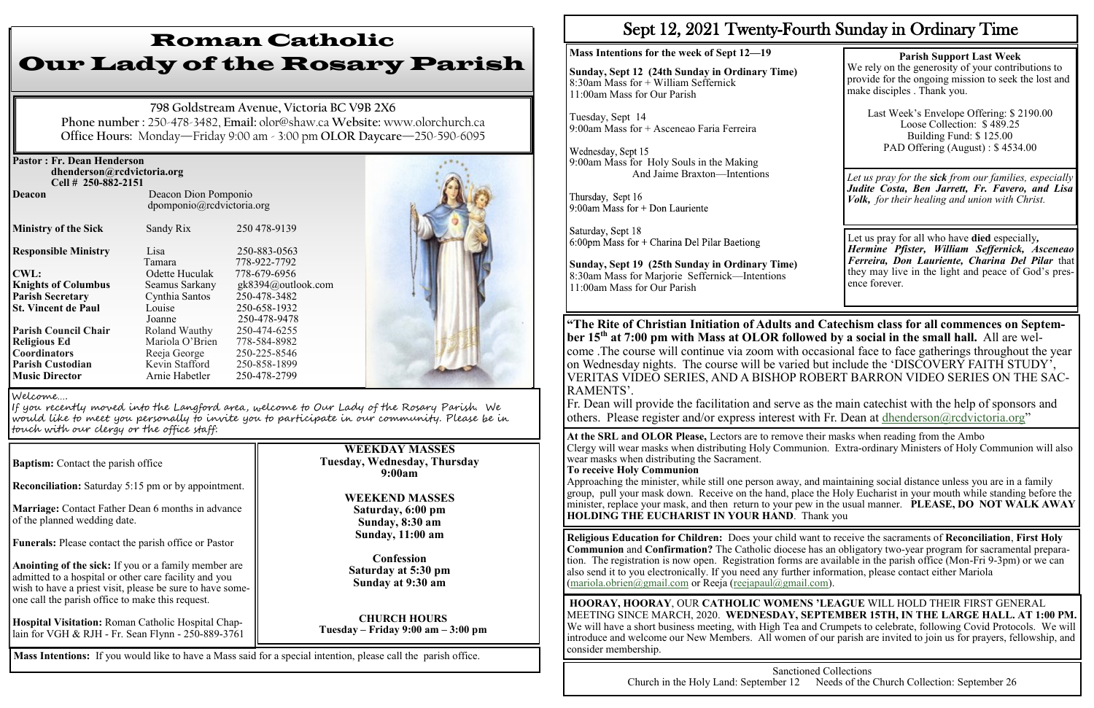| <b>Pastor: Fr. Dean Henderson</b><br>dhenderson@rcdvictoria.org |                           |                    |  |
|-----------------------------------------------------------------|---------------------------|--------------------|--|
| Cell # 250-882-2151<br><b>Deacon</b>                            | Deacon Dion Pomponio      |                    |  |
|                                                                 | dpomponio@rcdvictoria.org |                    |  |
| <b>Ministry of the Sick</b>                                     | Sandy Rix                 | 250 478-9139       |  |
| <b>Responsible Ministry</b>                                     | Lisa                      | 250-883-0563       |  |
|                                                                 | Tamara                    | 778-922-7792       |  |
| <b>CWL:</b>                                                     | Odette Huculak            | 778-679-6956       |  |
| <b>Knights of Columbus</b>                                      | Seamus Sarkany            | gk8394@outlook.com |  |
| <b>Parish Secretary</b>                                         | Cynthia Santos            | 250-478-3482       |  |
| <b>St. Vincent de Paul</b>                                      | Louise                    | 250-658-1932       |  |
|                                                                 | Joanne                    | 250-478-9478       |  |
| <b>Parish Council Chair</b>                                     | Roland Wauthy             | 250-474-6255       |  |
| <b>Religious Ed</b>                                             | Mariola O'Brien           | 778-584-8982       |  |
| <b>Coordinators</b>                                             | Reeja George              | 250-225-8546       |  |
| <b>Parish Custodian</b>                                         | Kevin Stafford            | 250-858-1899       |  |
| <b>Music Director</b>                                           | Arnie Habetler            | 250-478-2799       |  |

**Reconciliation:** Saturday 5:15 pm or by appointment.

**Marriage:** Contact Father Dean 6 months in advance of the planned wedding date.

**Funerals:** Please contact the parish office or Pastor

**Anointing of the sick:** If you or a family member are admitted to a hospital or other care facility and you wish to have a priest visit, please be sure to have someone call the parish office to make this request.

**Hospital Visitation:** Roman Catholic Hospital Chaplain for VGH & RJH - Fr. Sean Flynn - 250-889-3761

Wednesday, Sept 15 9:00am Mass for Holy Souls in the Making And Jaime Braxton—Intentions

Thursday, Sept 16 9:00am Mass for  $+$  Don Lauriente

Saturday, Sept 18  $6:00$ pm Mass for + Charina Del Pilar Baetiong

# Roman Catholic Our Lady of the Rosary Parish

**798 Goldstream Avenue, Victoria BC V9B 2X6 Phone number :** 250-478-3482, **Email:** olor@shaw.ca **Website:** www.olorchurch.ca **Office Hours:** Monday—Friday 9:00 am - 3:00 pm **OLOR Daycare**—250-590-6095

# **WEEKDAY MASSES Tuesday, Wednesday, Thursday 9:00am**

### **WEEKEND MASSES Saturday, 6:00 pm Sunday, 8:30 am Sunday, 11:00 am**

**Confession Saturday at 5:30 pm Sunday at 9:30 am**

**CHURCH HOURS Tuesday – Friday 9:00 am – 3:00 pm**

#### Welcome….

If you recently moved into the Langford area, welcome to Our Lady of the Rosary Parish. We would like to meet you personally to invite you to participate in our community. Please be in touch with our clergy or the office staff:

**Baptism:** Contact the parish office

**Mass Intentions:** If you would like to have a Mass said for a special intention, please call the parish office.

# Sept 12, 2021 Twenty-Fourth Sunday in Ordinary Time

### **Mass Intentions for the week of Sept 12—19**

**Sunday, Sept 12 (24th Sunday in Ordinary Time)** 8:30am Mass for + William Seffernick 11:00am Mass for Our Parish

Tuesday, Sept 14 9:00am Mass for + Asceneao Faria Ferreira

**Sunday, Sept 19 (25th Sunday in Ordinary Time)** 8:30am Mass for Marjorie Seffernick—Intentions 11:00am Mass for Our Parish

### **Parish Support Last Week**

We rely on the generosity of your contributions to provide for the ongoing mission to seek the lost and make disciples . Thank you.

Last Week's Envelope Offering: \$ 2190.00 Loose Collection: \$ 489.25 Building Fund: \$ 125.00 PAD Offering (August) : \$ 4534.00

Let us pray for all who have **died** especially*, Hermine Pfister, William Seffernick, Asceneao Ferreira, Don Lauriente, Charina Del Pilar* that they may live in the light and peace of God's presence forever.

**"The Rite of Christian Initiation of Adults and Catechism class for all commences on September 15th at 7:00 pm with Mass at OLOR followed by a social in the small hall.** All are welcome .The course will continue via zoom with occasional face to face gatherings throughout the year on Wednesday nights. The course will be varied but include the 'DISCOVERY FAITH STUDY', VERITAS VIDEO SERIES, AND A BISHOP ROBERT BARRON VIDEO SERIES ON THE SAC-RAMENTS'.

Fr. Dean will provide the facilitation and serve as the main catechist with the help of sponsors and others. Please register and/or express interest with Fr. Dean at [dhenderson@rcdvictoria.org](mailto:dhenderson@rcdvictoria.org)"

**At the SRL and OLOR Please,** Lectors are to remove their masks when reading from the Ambo Clergy will wear masks when distributing Holy Communion. Extra-ordinary Ministers of Holy Communion will also wear masks when distributing the Sacrament. **To receive Holy Communion**

Approaching the minister, while still one person away, and maintaining social distance unless you are in a family group, pull your mask down. Receive on the hand, place the Holy Eucharist in your mouth while standing before the minister, replace your mask, and then return to your pew in the usual manner. **PLEASE, DO NOT WALK AWAY HOLDING THE EUCHARIST IN YOUR HAND**. Thank you

*Let us pray for the sick from our families, especially Judite Costa, Ben Jarrett, Fr. Favero, and Lisa Volk, for their healing and union with Christ.*

**Religious Education for Children:** Does your child want to receive the sacraments of **Reconciliation**, **First Holy Communion** and **Confirmation?** The Catholic diocese has an obligatory two-year program for sacramental preparation. The registration is now open. Registration forms are available in the parish office (Mon-Fri 9-3pm) or we can also send it to you electronically. If you need any further information, please contact either Mariola [\(mariola.obrien@gmail.com](mailto:mariola.obrien@gmail.com) or Reeja ([reejapaul@gmail.com\).](mailto:reejapaul@gmail.com)

**HOORAY, HOORAY**, OUR **CATHOLIC WOMENS 'LEAGUE** WILL HOLD THEIR FIRST GENERAL MEETING SINCE MARCH, 2020. **WEDNESDAY, SEPTEMBER 15TH, IN THE LARGE HALL. AT 1:00 PM.**  We will have a short business meeting, with High Tea and Crumpets to celebrate, following Covid Protocols. We will introduce and welcome our New Members. All women of our parish are invited to join us for prayers, fellowship, and consider membership.

Sanctioned Collections Church in the Holy Land: September 12 Needs of the Church Collection: September 26